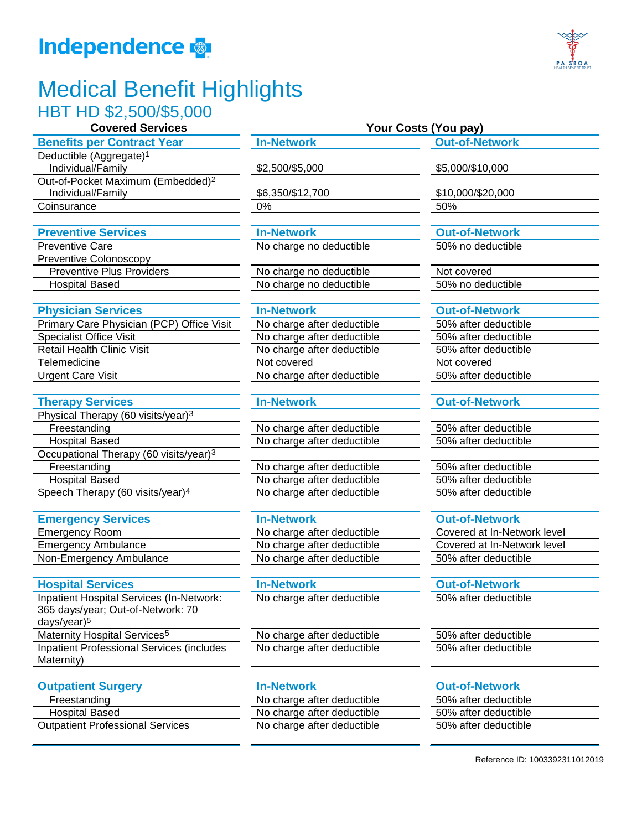# **Independence**

## Medical Benefit Highlights HBT HD \$2,500/\$5,000

### **Benefits per Contract Year In-Network Out-of-Network**

Deductible (Aggregate)1 Individual/Family \$2,500/\$5,000 \$5,000/\$10,000 Out-of-Pocket Maximum (Embedded)2 Individual/Family \$6,350/\$12,700 \$10,000/\$20,000 Coinsurance 0% 50%

Preventive Care **No charge no deductible** 50% no deductible Preventive Colonoscopy

### **Physician Services In-Network In-Network Out-of-Network**

| Primary Care Physician (PCP) Office Visit |
|-------------------------------------------|
| <b>Specialist Office Visit</b>            |
| <b>Retail Health Clinic Visit</b>         |
| Telemedicine                              |
| <b>Urgent Care Visit</b>                  |

### **Therapy Services In-Network Out-of-Network**

Physical Therapy (60 visits/year)3 Freestanding No charge after deductible 50% after deductible Hospital Based No charge after deductible 50% after deductible Occupational Therapy (60 visits/year)3 Freestanding The No charge after deductible 50% after deductible 50% after deductible Hospital Based No charge after deductible 50% after deductible Speech Therapy  $(60 \text{ visits/year})^4$  No charge after deductible  $\overline{\hspace{1cm}}$  50% after deductible

### **Emergency Services In-Network In-Network Out-of-Network**

Inpatient Hospital Services (In-Network: 365 days/year; Out-of-Network: 70 days/year)5 Maternity Hospital Services<sup>5</sup> No charge after deductible 50% after deductible Inpatient Professional Services (includes Maternity)

### **Outpatient Surgery In-Network Out-of-Network**

Outpatient Professional Services No charge after deductible 50% after deductible

**Preventive Services In-Network Out-of-Network**

Preventive Plus Providers No charge no deductible Not covered Hospital Based **No charge no deductible** 50% no deductible

No charge after deductible 50% after deductible No charge after deductible 50% after deductible No charge after deductible 50% after deductible Not covered Not covered Not covered No charge after deductible 50% after deductible

Emergency Room No charge after deductible Covered at In-Network level Emergency Ambulance The No charge after deductible Covered at In-Network level Non-Emergency Ambulance No charge after deductible 50% after deductible

**Hospital Services In-Network Out-of-Network** No charge after deductible 50% after deductible

No charge after deductible 50% after deductible

Freestanding The No charge after deductible 50% after deductible 50% after deductible Hospital Based No charge after deductible 50% after deductible

### **Covered Services Your Costs (You pay)**

PAISBOA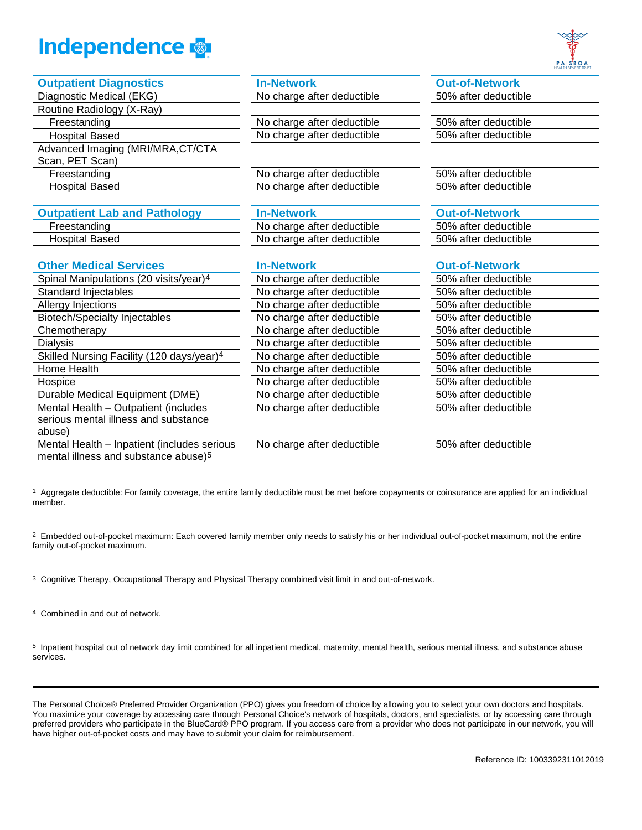



| <b>Outpatient Diagnostics</b>                         | <b>In-Network</b>          | <b>Out-of-Network</b> |
|-------------------------------------------------------|----------------------------|-----------------------|
| Diagnostic Medical (EKG)                              | No charge after deductible | 50% after deductible  |
| Routine Radiology (X-Ray)                             |                            |                       |
| Freestanding                                          | No charge after deductible | 50% after deductible  |
| <b>Hospital Based</b>                                 | No charge after deductible | 50% after deductible  |
| Advanced Imaging (MRI/MRA, CT/CTA                     |                            |                       |
| Scan, PET Scan)                                       |                            |                       |
| Freestanding                                          | No charge after deductible | 50% after deductible  |
| <b>Hospital Based</b>                                 | No charge after deductible | 50% after deductible  |
|                                                       |                            |                       |
| <b>Outpatient Lab and Pathology</b>                   | <b>In-Network</b>          | <b>Out-of-Network</b> |
| Freestanding                                          | No charge after deductible | 50% after deductible  |
| <b>Hospital Based</b>                                 | No charge after deductible | 50% after deductible  |
|                                                       |                            |                       |
| <b>Other Medical Services</b>                         | <b>In-Network</b>          | <b>Out-of-Network</b> |
| Spinal Manipulations (20 visits/year) <sup>4</sup>    | No charge after deductible | 50% after deductible  |
| <b>Standard Injectables</b>                           | No charge after deductible | 50% after deductible  |
| Allergy Injections                                    | No charge after deductible | 50% after deductible  |
| <b>Biotech/Specialty Injectables</b>                  | No charge after deductible | 50% after deductible  |
| Chemotherapy                                          | No charge after deductible | 50% after deductible  |
| <b>Dialysis</b>                                       | No charge after deductible | 50% after deductible  |
| Skilled Nursing Facility (120 days/year) <sup>4</sup> | No charge after deductible | 50% after deductible  |
| Home Health                                           | No charge after deductible | 50% after deductible  |
| Hospice                                               | No charge after deductible | 50% after deductible  |
| Durable Medical Equipment (DME)                       | No charge after deductible | 50% after deductible  |
| Mental Health - Outpatient (includes                  | No charge after deductible | 50% after deductible  |
| serious mental illness and substance                  |                            |                       |
| abuse)                                                |                            |                       |
| Mental Health - Inpatient (includes serious           | No charge after deductible | 50% after deductible  |
| mental illness and substance abuse) <sup>5</sup>      |                            |                       |

<sup>1</sup> Aggregate deductible: For family coverage, the entire family deductible must be met before copayments or coinsurance are applied for an individual member.

<sup>2</sup> Embedded out-of-pocket maximum: Each covered family member only needs to satisfy his or her individual out-of-pocket maximum, not the entire family out-of-pocket maximum.

3 Cognitive Therapy, Occupational Therapy and Physical Therapy combined visit limit in and out-of-network.

4 Combined in and out of network.

5 Inpatient hospital out of network day limit combined for all inpatient medical, maternity, mental health, serious mental illness, and substance abuse services.

The Personal Choice® Preferred Provider Organization (PPO) gives you freedom of choice by allowing you to select your own doctors and hospitals. You maximize your coverage by accessing care through Personal Choice's network of hospitals, doctors, and specialists, or by accessing care through preferred providers who participate in the BlueCard® PPO program. If you access care from a provider who does not participate in our network, you will have higher out-of-pocket costs and may have to submit your claim for reimbursement.